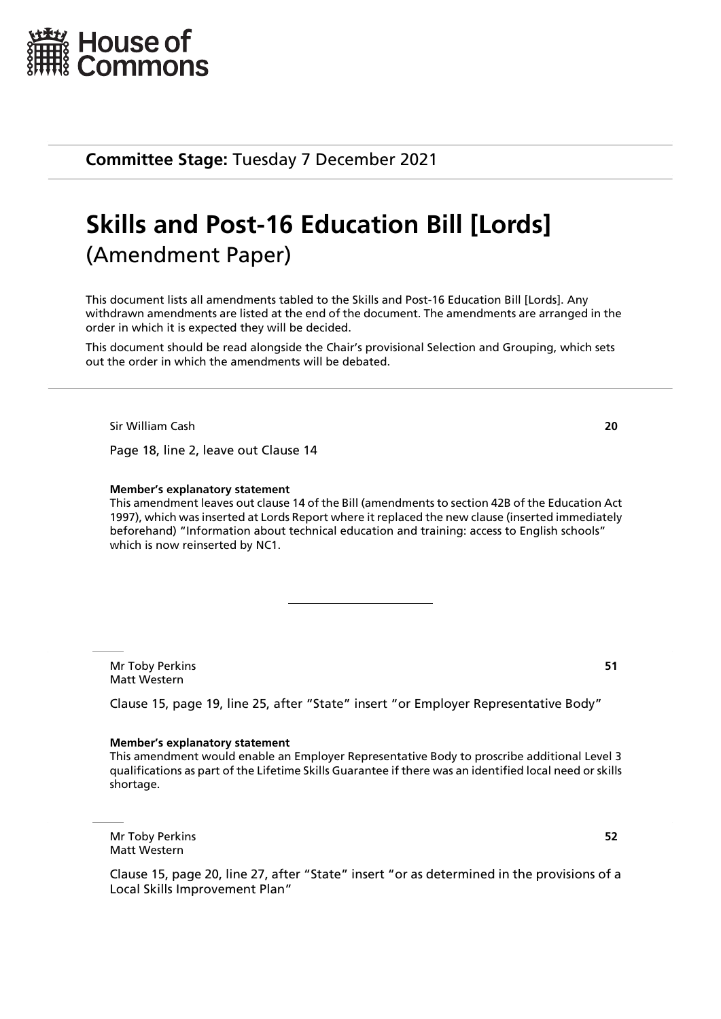

**Committee Stage:** Tuesday 7 December 2021

# **Skills and Post-16 Education Bill [Lords]** (Amendment Paper)

This document lists all amendments tabled to the Skills and Post-16 Education Bill [Lords]. Any withdrawn amendments are listed at the end of the document. The amendments are arranged in the order in which it is expected they will be decided.

This document should be read alongside the Chair's provisional Selection and Grouping, which sets out the order in which the amendments will be debated.

Sir William Cash **20**

Page 18, line 2, leave out Clause 14

#### **Member's explanatory statement**

This amendment leaves out clause 14 of the Bill (amendments to section 42B of the Education Act 1997), which was inserted at Lords Report where it replaced the new clause (inserted immediately beforehand) "Information about technical education and training: access to English schools" which is now reinserted by NC1.

Mr Toby Perkins **51** Matt Western

Clause 15, page 19, line 25, after "State" insert "or Employer Representative Body"

#### **Member's explanatory statement**

This amendment would enable an Employer Representative Body to proscribe additional Level 3 qualifications as part of the Lifetime Skills Guarantee if there was an identified local need or skills shortage.

Mr Toby Perkins **52** Matt Western

Clause 15, page 20, line 27, after "State" insert "or as determined in the provisions of a Local Skills Improvement Plan"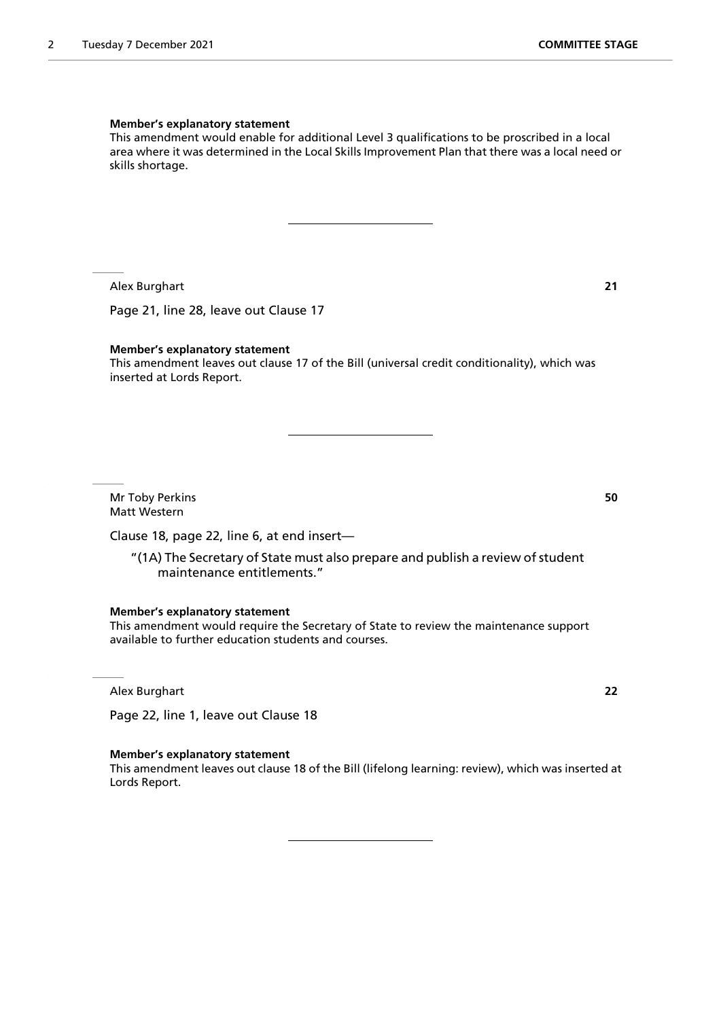#### **Member's explanatory statement**

This amendment would enable for additional Level 3 qualifications to be proscribed in a local area where it was determined in the Local Skills Improvement Plan that there was a local need or skills shortage.

Alex Burghart **21**

Page 21, line 28, leave out Clause 17

#### **Member's explanatory statement**

This amendment leaves out clause 17 of the Bill (universal credit conditionality), which was inserted at Lords Report.

Mr Toby Perkins **50** Matt Western

Clause 18, page 22, line 6, at end insert—

"(1A) The Secretary of State must also prepare and publish a review of student maintenance entitlements."

**Member's explanatory statement**

This amendment would require the Secretary of State to review the maintenance support available to further education students and courses.

Alex Burghart **22**

Page 22, line 1, leave out Clause 18

#### **Member's explanatory statement**

This amendment leaves out clause 18 of the Bill (lifelong learning: review), which was inserted at Lords Report.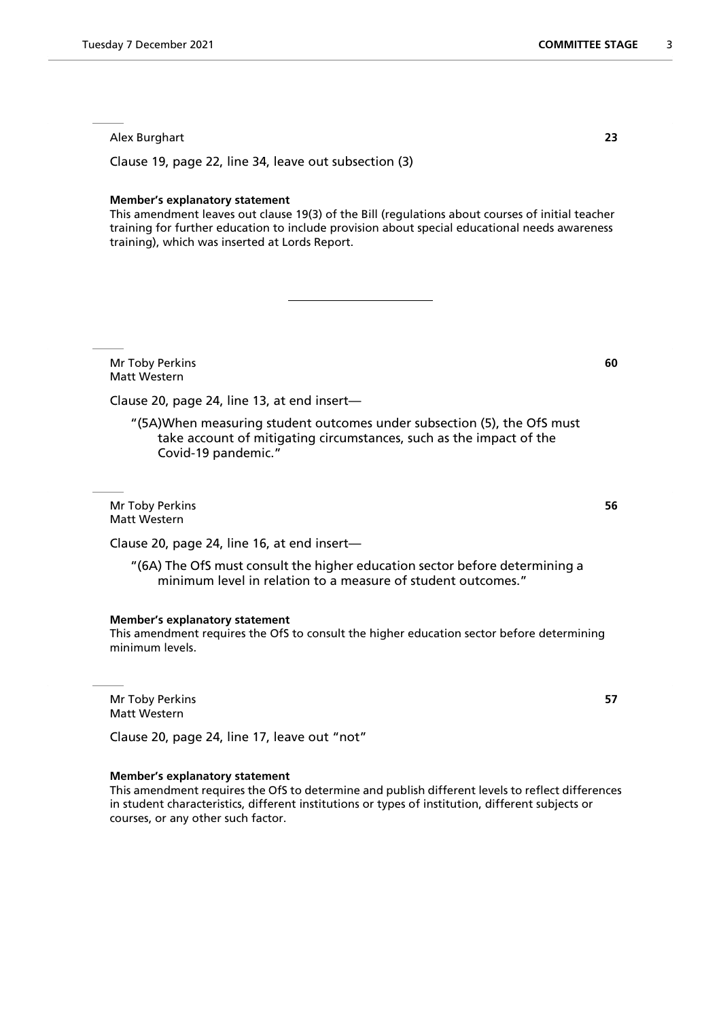Alex Burghart **23**

Clause 19, page 22, line 34, leave out subsection (3)

#### **Member's explanatory statement**

This amendment leaves out clause 19(3) of the Bill (regulations about courses of initial teacher training for further education to include provision about special educational needs awareness training), which was inserted at Lords Report.

Mr Toby Perkins **60** Matt Western

Clause 20, page 24, line 13, at end insert—

"(5A)When measuring student outcomes under subsection (5), the OfS must take account of mitigating circumstances, such as the impact of the Covid-19 pandemic."

Mr Toby Perkins **56** Matt Western

Clause 20, page 24, line 16, at end insert—

"(6A) The OfS must consult the higher education sector before determining a minimum level in relation to a measure of student outcomes."

# **Member's explanatory statement**

This amendment requires the OfS to consult the higher education sector before determining minimum levels.

Mr Toby Perkins **57** Matt Western

Clause 20, page 24, line 17, leave out "not"

#### **Member's explanatory statement**

This amendment requires the OfS to determine and publish different levels to reflect differences in student characteristics, different institutions or types of institution, different subjects or courses, or any other such factor.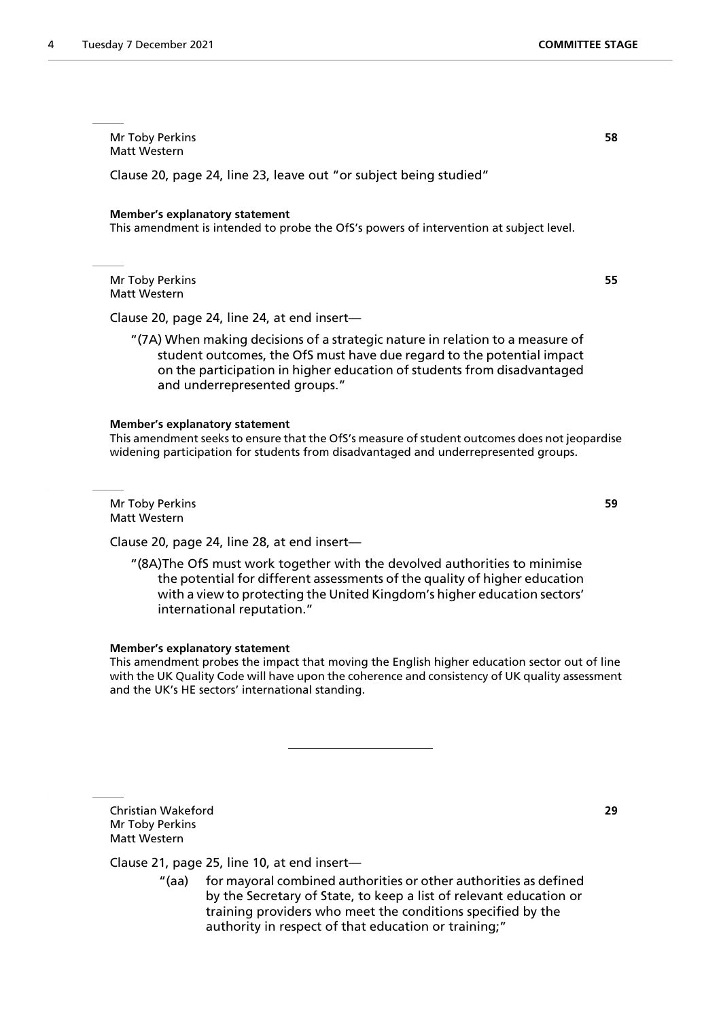Mr Toby Perkins **58** Matt Western

Clause 20, page 24, line 23, leave out "or subject being studied"

#### **Member's explanatory statement**

This amendment is intended to probe the OfS's powers of intervention at subject level.

Mr Toby Perkins **55** Matt Western

Clause 20, page 24, line 24, at end insert—

"(7A) When making decisions of a strategic nature in relation to a measure of student outcomes, the OfS must have due regard to the potential impact on the participation in higher education of students from disadvantaged and underrepresented groups."

#### **Member's explanatory statement**

This amendment seeks to ensure that the OfS's measure of student outcomes does not jeopardise widening participation for students from disadvantaged and underrepresented groups.

Mr Toby Perkins **59** Matt Western

Clause 20, page 24, line 28, at end insert—

"(8A)The OfS must work together with the devolved authorities to minimise the potential for different assessments of the quality of higher education with a view to protecting the United Kingdom's higher education sectors' international reputation."

#### **Member's explanatory statement**

This amendment probes the impact that moving the English higher education sector out of line with the UK Quality Code will have upon the coherence and consistency of UK quality assessment and the UK's HE sectors' international standing.

Christian Wakeford **29** Mr Toby Perkins Matt Western

# Clause 21, page 25, line 10, at end insert—

"(aa) for mayoral combined authorities or other authorities as defined by the Secretary of State, to keep a list of relevant education or training providers who meet the conditions specified by the authority in respect of that education or training;"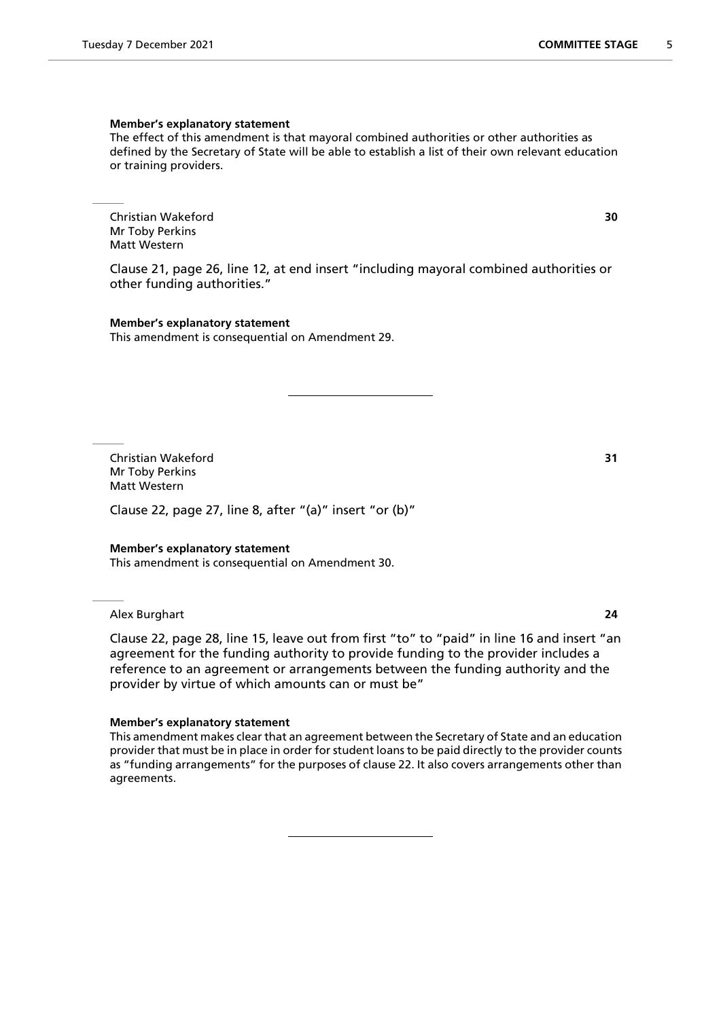#### **Member's explanatory statement**

The effect of this amendment is that mayoral combined authorities or other authorities as defined by the Secretary of State will be able to establish a list of their own relevant education or training providers.

Christian Wakeford **30** Mr Toby Perkins Matt Western

Clause 21, page 26, line 12, at end insert "including mayoral combined authorities or other funding authorities."

**Member's explanatory statement** This amendment is consequential on Amendment 29.

Christian Wakeford **31** Mr Toby Perkins Matt Western

Clause 22, page 27, line 8, after "(a)" insert "or (b)"

#### **Member's explanatory statement**

This amendment is consequential on Amendment 30.

Alex Burghart **24**

Clause 22, page 28, line 15, leave out from first "to" to "paid" in line 16 and insert "an agreement for the funding authority to provide funding to the provider includes a reference to an agreement or arrangements between the funding authority and the provider by virtue of which amounts can or must be"

#### **Member's explanatory statement**

This amendment makes clear that an agreement between the Secretary of State and an education provider that must be in place in order for student loans to be paid directly to the provider counts as "funding arrangements" for the purposes of clause 22. It also covers arrangements other than agreements.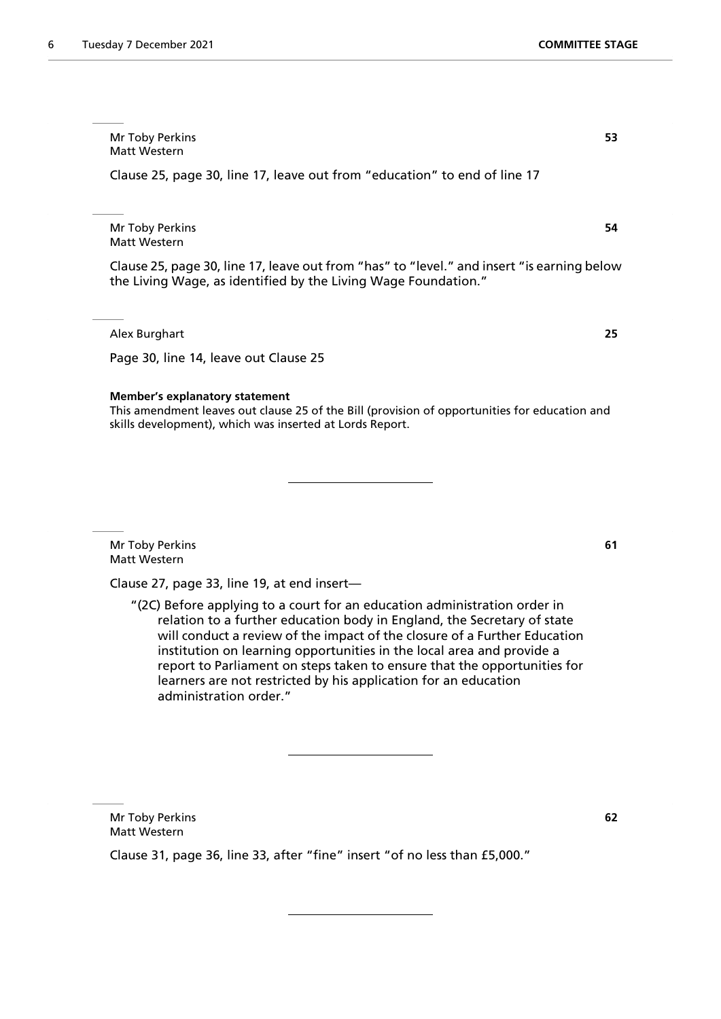Mr Toby Perkins **53** Matt Western

Clause 25, page 30, line 17, leave out from "education" to end of line 17

Mr Toby Perkins **54** Matt Western

Clause 25, page 30, line 17, leave out from "has" to "level." and insert "is earning below the Living Wage, as identified by the Living Wage Foundation."

Alex Burghart **25**

Page 30, line 14, leave out Clause 25

#### **Member's explanatory statement**

This amendment leaves out clause 25 of the Bill (provision of opportunities for education and skills development), which was inserted at Lords Report.

Mr Toby Perkins **61** Matt Western

Clause 27, page 33, line 19, at end insert—

"(2C) Before applying to a court for an education administration order in relation to a further education body in England, the Secretary of state will conduct a review of the impact of the closure of a Further Education institution on learning opportunities in the local area and provide a report to Parliament on steps taken to ensure that the opportunities for learners are not restricted by his application for an education administration order."

Mr Toby Perkins **62** Matt Western

Clause 31, page 36, line 33, after "fine" insert "of no less than £5,000."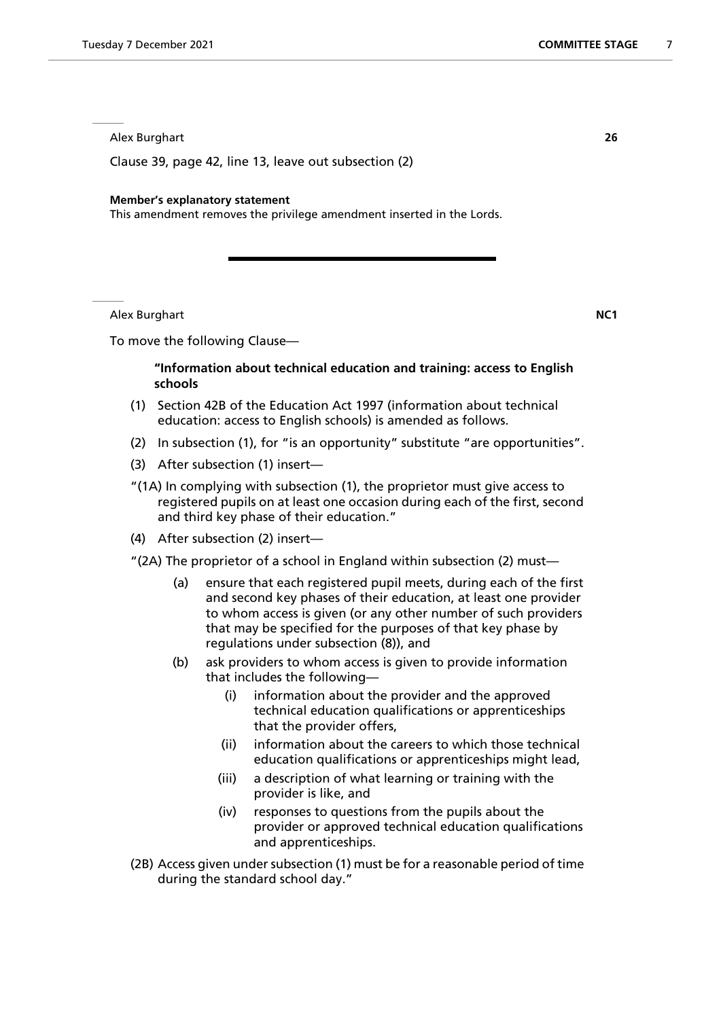Alex Burghart **26**

Clause 39, page 42, line 13, leave out subsection (2)

#### **Member's explanatory statement**

This amendment removes the privilege amendment inserted in the Lords.

Alex Burghart **NC1**

To move the following Clause—

# **"Information about technical education and training: access to English schools**

- (1) Section 42B of the Education Act 1997 (information about technical education: access to English schools) is amended as follows.
- (2) In subsection (1), for "is an opportunity" substitute "are opportunities".
- (3) After subsection (1) insert—
- "(1A) In complying with subsection (1), the proprietor must give access to registered pupils on at least one occasion during each of the first, second and third key phase of their education."
- (4) After subsection (2) insert—
- "(2A) The proprietor of a school in England within subsection (2) must—
	- (a) ensure that each registered pupil meets, during each of the first and second key phases of their education, at least one provider to whom access is given (or any other number of such providers that may be specified for the purposes of that key phase by regulations under subsection (8)), and
	- (b) ask providers to whom access is given to provide information that includes the following—
		- (i) information about the provider and the approved technical education qualifications or apprenticeships that the provider offers,
		- (ii) information about the careers to which those technical education qualifications or apprenticeships might lead,
		- (iii) a description of what learning or training with the provider is like, and
		- (iv) responses to questions from the pupils about the provider or approved technical education qualifications and apprenticeships.
- (2B) Access given under subsection (1) must be for a reasonable period of time during the standard school day."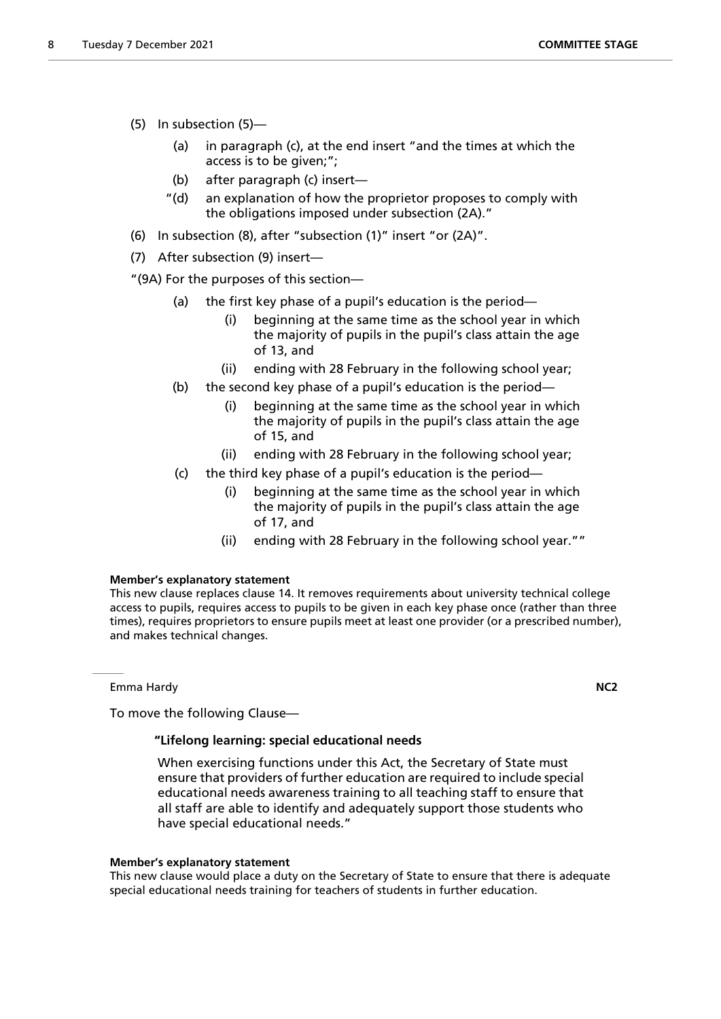- (5) In subsection (5)—
	- (a) in paragraph (c), at the end insert "and the times at which the access is to be given;";
	- (b) after paragraph (c) insert—
	- "(d) an explanation of how the proprietor proposes to comply with the obligations imposed under subsection (2A)."
- (6) In subsection (8), after "subsection (1)" insert "or (2A)".
- (7) After subsection (9) insert—

"(9A) For the purposes of this section—

- (a) the first key phase of a pupil's education is the period—
	- (i) beginning at the same time as the school year in which the majority of pupils in the pupil's class attain the age of 13, and
	- (ii) ending with 28 February in the following school year;
- (b) the second key phase of a pupil's education is the period—
	- (i) beginning at the same time as the school year in which the majority of pupils in the pupil's class attain the age of 15, and
	- (ii) ending with 28 February in the following school year;
- (c) the third key phase of a pupil's education is the period—
	- (i) beginning at the same time as the school year in which the majority of pupils in the pupil's class attain the age of 17, and
	- (ii) ending with 28 February in the following school year.""

# **Member's explanatory statement**

This new clause replaces clause 14. It removes requirements about university technical college access to pupils, requires access to pupils to be given in each key phase once (rather than three times), requires proprietors to ensure pupils meet at least one provider (or a prescribed number), and makes technical changes.

Emma Hardy **NC2**

To move the following Clause—

# **"Lifelong learning: special educational needs**

 When exercising functions under this Act, the Secretary of State must ensure that providers of further education are required to include special educational needs awareness training to all teaching staff to ensure that all staff are able to identify and adequately support those students who have special educational needs."

# **Member's explanatory statement**

This new clause would place a duty on the Secretary of State to ensure that there is adequate special educational needs training for teachers of students in further education.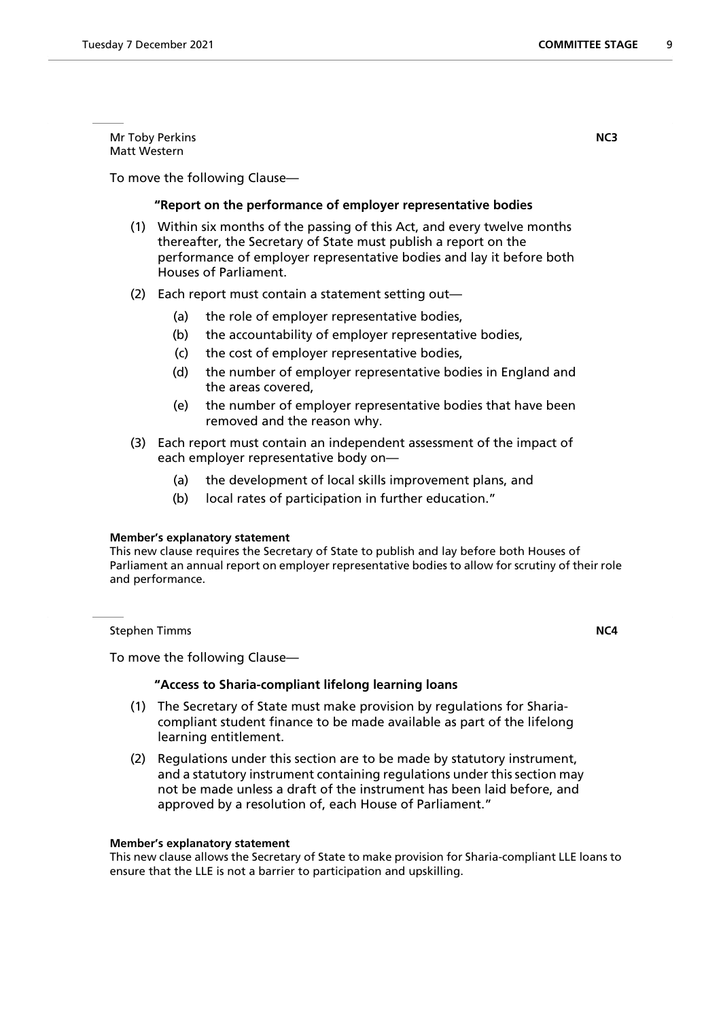Mr Toby Perkins **NC3** Matt Western

To move the following Clause—

# **"Report on the performance of employer representative bodies**

- (1) Within six months of the passing of this Act, and every twelve months thereafter, the Secretary of State must publish a report on the performance of employer representative bodies and lay it before both Houses of Parliament.
- (2) Each report must contain a statement setting out—
	- (a) the role of employer representative bodies,
	- (b) the accountability of employer representative bodies,
	- (c) the cost of employer representative bodies,
	- (d) the number of employer representative bodies in England and the areas covered,
	- (e) the number of employer representative bodies that have been removed and the reason why.
- (3) Each report must contain an independent assessment of the impact of each employer representative body on—
	- (a) the development of local skills improvement plans, and
	- (b) local rates of participation in further education."

# **Member's explanatory statement**

This new clause requires the Secretary of State to publish and lay before both Houses of Parliament an annual report on employer representative bodies to allow for scrutiny of their role and performance.

**Stephen Timms NC4** 

To move the following Clause—

# **"Access to Sharia-compliant lifelong learning loans**

- (1) The Secretary of State must make provision by regulations for Shariacompliant student finance to be made available as part of the lifelong learning entitlement.
- (2) Regulations under this section are to be made by statutory instrument, and a statutory instrument containing regulations under this section may not be made unless a draft of the instrument has been laid before, and approved by a resolution of, each House of Parliament."

#### **Member's explanatory statement**

This new clause allows the Secretary of State to make provision for Sharia-compliant LLE loans to ensure that the LLE is not a barrier to participation and upskilling.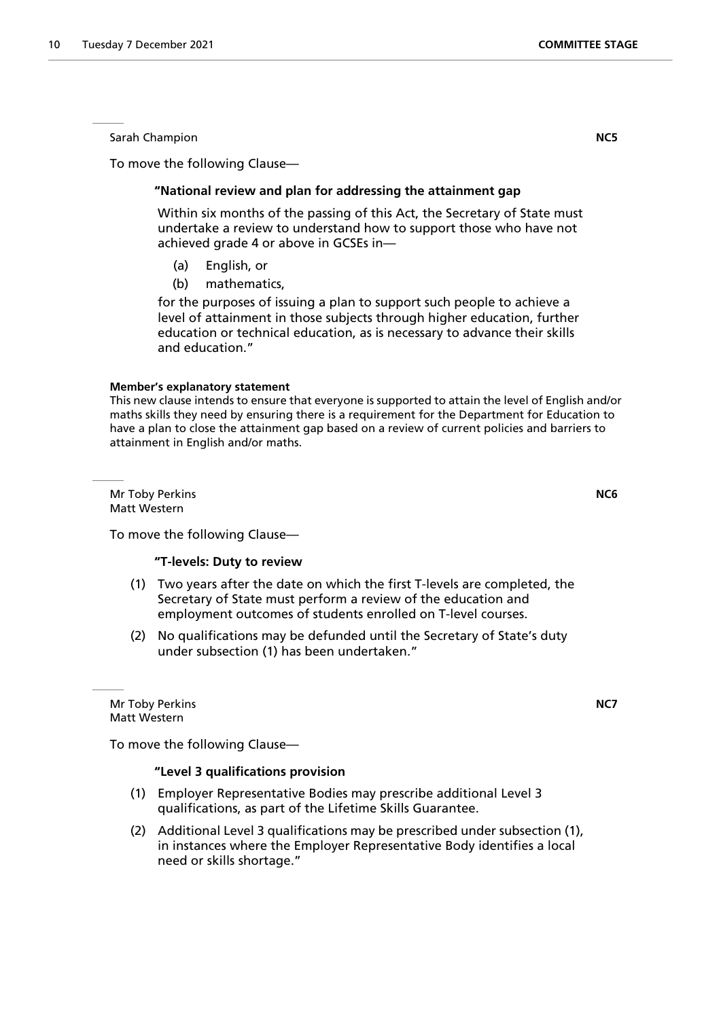Sarah Champion **NC5**

To move the following Clause—

# **"National review and plan for addressing the attainment gap**

 Within six months of the passing of this Act, the Secretary of State must undertake a review to understand how to support those who have not achieved grade 4 or above in GCSEs in—

- (a) English, or
- (b) mathematics,

for the purposes of issuing a plan to support such people to achieve a level of attainment in those subjects through higher education, further education or technical education, as is necessary to advance their skills and education."

#### **Member's explanatory statement**

This new clause intends to ensure that everyone is supported to attain the level of English and/or maths skills they need by ensuring there is a requirement for the Department for Education to have a plan to close the attainment gap based on a review of current policies and barriers to attainment in English and/or maths.

Mr Toby Perkins **NC6** Matt Western

To move the following Clause—

# **"T-levels: Duty to review**

- (1) Two years after the date on which the first T-levels are completed, the Secretary of State must perform a review of the education and employment outcomes of students enrolled on T-level courses.
- (2) No qualifications may be defunded until the Secretary of State's duty under subsection (1) has been undertaken."

Mr Toby Perkins **NC7** Matt Western

To move the following Clause—

# **"Level 3 qualifications provision**

- (1) Employer Representative Bodies may prescribe additional Level 3 qualifications, as part of the Lifetime Skills Guarantee.
- (2) Additional Level 3 qualifications may be prescribed under subsection (1), in instances where the Employer Representative Body identifies a local need or skills shortage."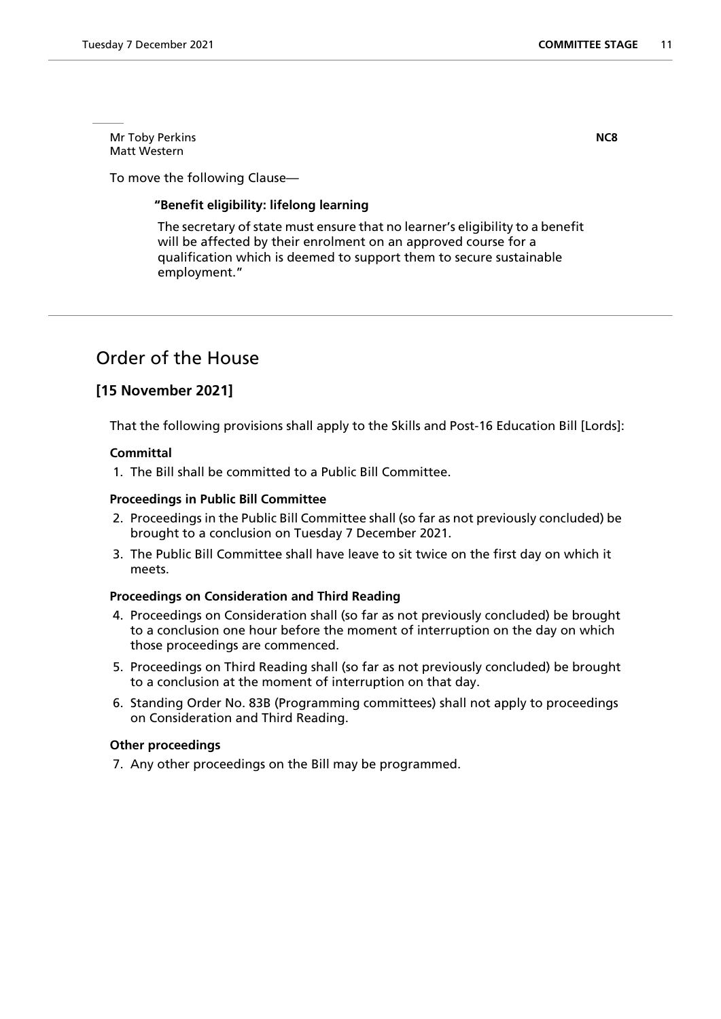Mr Toby Perkins **NC8** Matt Western

To move the following Clause—

# **"Benefit eligibility: lifelong learning**

 The secretary of state must ensure that no learner's eligibility to a benefit will be affected by their enrolment on an approved course for a qualification which is deemed to support them to secure sustainable employment."

# Order of the House

# **[15 November 2021]**

That the following provisions shall apply to the Skills and Post-16 Education Bill [Lords]:

# **Committal**

1. The Bill shall be committed to a Public Bill Committee.

# **Proceedings in Public Bill Committee**

- 2. Proceedings in the Public Bill Committee shall (so far as not previously concluded) be brought to a conclusion on Tuesday 7 December 2021.
- 3. The Public Bill Committee shall have leave to sit twice on the first day on which it meets.

# **Proceedings on Consideration and Third Reading**

- 4. Proceedings on Consideration shall (so far as not previously concluded) be brought to a conclusion one hour before the moment of interruption on the day on which those proceedings are commenced.
- 5. Proceedings on Third Reading shall (so far as not previously concluded) be brought to a conclusion at the moment of interruption on that day.
- 6. Standing Order No. 83B (Programming committees) shall not apply to proceedings on Consideration and Third Reading.

# **Other proceedings**

7. Any other proceedings on the Bill may be programmed.